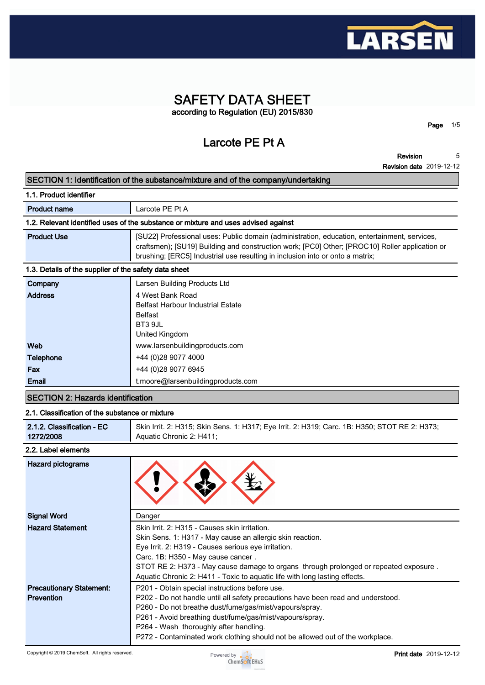

# **SAFETY DATA SHEET according to Regulation (EU) 2015/830**

**Larcote PE Pt A**

**Revision 5**

**Page 1/5**

**Revision date 2019-12-12**

#### **SECTION 1: Identification of the substance/mixture and of the company/undertaking**

| 1.1. Product identifier                                                            |                                                                                                                                                                                                                                                                                 |  |  |
|------------------------------------------------------------------------------------|---------------------------------------------------------------------------------------------------------------------------------------------------------------------------------------------------------------------------------------------------------------------------------|--|--|
| <b>Product name</b>                                                                | Larcote PE Pt A                                                                                                                                                                                                                                                                 |  |  |
| 1.2. Relevant identified uses of the substance or mixture and uses advised against |                                                                                                                                                                                                                                                                                 |  |  |
| <b>Product Use</b>                                                                 | [SU22] Professional uses: Public domain (administration, education, entertainment, services,<br>craftsmen); [SU19] Building and construction work; [PC0] Other; [PROC10] Roller application or<br>brushing; [ERC5] Industrial use resulting in inclusion into or onto a matrix; |  |  |
| 1.3. Details of the supplier of the safety data sheet                              |                                                                                                                                                                                                                                                                                 |  |  |
| Company                                                                            | Larsen Building Products Ltd                                                                                                                                                                                                                                                    |  |  |
| <b>Address</b>                                                                     | 4 West Bank Road<br><b>Belfast Harbour Industrial Estate</b><br>Belfast<br>BT3 9JL<br>United Kingdom                                                                                                                                                                            |  |  |

| .<br><br>. |                                    |  |  |
|------------|------------------------------------|--|--|
| Email      | t.moore@larsenbuildingproducts.com |  |  |
|            |                                    |  |  |
| Fax        | +44 (0) 28 9077 6945               |  |  |
| Telephone  | +44 (0)28 9077 4000                |  |  |
| Web        | www.larsenbuildingproducts.com     |  |  |
|            | omoa migaom                        |  |  |

# **SECTION 2: Hazards identification**

# **2.1. Classification of the substance or mixture**

| 2.1.2. Classification - EC | Skin Irrit. 2: H315; Skin Sens. 1: H317; Eye Irrit. 2: H319; Carc. 1B: H350; STOT RE 2: H373; |
|----------------------------|-----------------------------------------------------------------------------------------------|
| 1272/2008                  | Aquatic Chronic 2: H411;                                                                      |

# **2.2. Label elements**

| <b>Hazard pictograms</b>                             |                                                                                                                                                                                                                                                                                                                                                                                      |
|------------------------------------------------------|--------------------------------------------------------------------------------------------------------------------------------------------------------------------------------------------------------------------------------------------------------------------------------------------------------------------------------------------------------------------------------------|
| <b>Signal Word</b>                                   | Danger                                                                                                                                                                                                                                                                                                                                                                               |
| <b>Hazard Statement</b>                              | Skin Irrit. 2: H315 - Causes skin irritation.<br>Skin Sens. 1: H317 - May cause an allergic skin reaction.<br>Eye Irrit. 2: H319 - Causes serious eye irritation.<br>Carc. 1B: H350 - May cause cancer.<br>STOT RE 2: H373 - May cause damage to organs through prolonged or repeated exposure.<br>Aquatic Chronic 2: H411 - Toxic to aquatic life with long lasting effects.        |
| <b>Precautionary Statement:</b><br><b>Prevention</b> | P201 - Obtain special instructions before use.<br>P202 - Do not handle until all safety precautions have been read and understood.<br>P260 - Do not breathe dust/fume/gas/mist/vapours/spray.<br>P261 - Avoid breathing dust/fume/gas/mist/vapours/spray.<br>P264 - Wash thoroughly after handling.<br>P272 - Contaminated work clothing should not be allowed out of the workplace. |

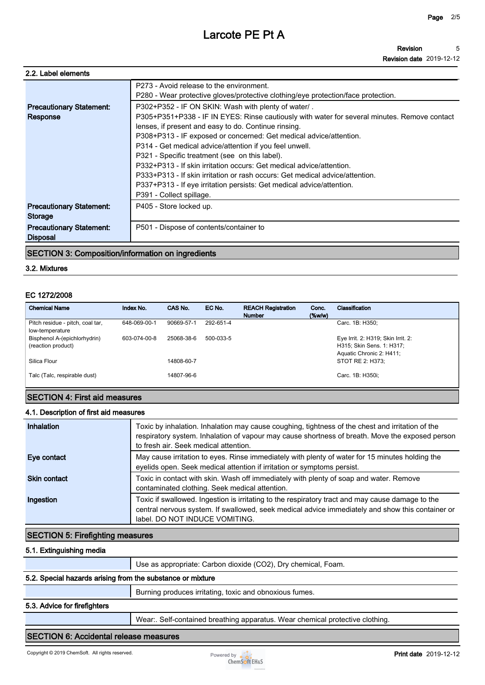| 2.2. Label elements             |                                                                                                                               |
|---------------------------------|-------------------------------------------------------------------------------------------------------------------------------|
|                                 | P273 - Avoid release to the environment.<br>P280 - Wear protective gloves/protective clothing/eye protection/face protection. |
| <b>Precautionary Statement:</b> | P302+P352 - IF ON SKIN: Wash with plenty of water/.                                                                           |
| Response                        | P305+P351+P338 - IF IN EYES: Rinse cautiously with water for several minutes. Remove contact                                  |
|                                 | lenses, if present and easy to do. Continue rinsing.                                                                          |
|                                 | P308+P313 - IF exposed or concerned: Get medical advice/attention.                                                            |
|                                 | P314 - Get medical advice/attention if you feel unwell.                                                                       |
|                                 | P321 - Specific treatment (see on this label).                                                                                |
|                                 | P332+P313 - If skin irritation occurs: Get medical advice/attention.                                                          |
|                                 | P333+P313 - If skin irritation or rash occurs: Get medical advice/attention.                                                  |
|                                 | P337+P313 - If eye irritation persists: Get medical advice/attention.                                                         |
|                                 | P391 - Collect spillage.                                                                                                      |
| <b>Precautionary Statement:</b> | P405 - Store locked up.                                                                                                       |
| Storage                         |                                                                                                                               |
| <b>Precautionary Statement:</b> | P501 - Dispose of contents/container to                                                                                       |
| <b>Disposal</b>                 |                                                                                                                               |
|                                 |                                                                                                                               |

# **SECTION 3: Composition/information on ingredients**

# **3.2. Mixtures**

#### **EC 1272/2008**

| <b>Chemical Name</b>                                | Index No.    | CAS No.    | EC No.    | <b>REACH Registration</b><br><b>Number</b> | Conc.<br>$(\%w/w)$ | Classification                                                                              |
|-----------------------------------------------------|--------------|------------|-----------|--------------------------------------------|--------------------|---------------------------------------------------------------------------------------------|
| Pitch residue - pitch, coal tar,<br>low-temperature | 648-069-00-1 | 90669-57-1 | 292-651-4 |                                            |                    | Carc. 1B: H350:                                                                             |
| Bisphenol A-(epichlorhydrin)<br>(reaction product)  | 603-074-00-8 | 25068-38-6 | 500-033-5 |                                            |                    | Eye Irrit. 2: H319; Skin Irrit. 2:<br>H315; Skin Sens. 1: H317;<br>Aquatic Chronic 2: H411; |
| Silica Flour                                        |              | 14808-60-7 |           |                                            |                    | STOT RE 2: H373:                                                                            |
| Talc (Talc, respirable dust)                        |              | 14807-96-6 |           |                                            |                    | Carc. 1B: H350i;                                                                            |

### **SECTION 4: First aid measures**

#### **4.1. Description of first aid measures**

| Inhalation          | Toxic by inhalation. Inhalation may cause coughing, tightness of the chest and irritation of the<br>respiratory system. Inhalation of vapour may cause shortness of breath. Move the exposed person<br>to fresh air. Seek medical attention. |
|---------------------|----------------------------------------------------------------------------------------------------------------------------------------------------------------------------------------------------------------------------------------------|
| Eye contact         | May cause irritation to eyes. Rinse immediately with plenty of water for 15 minutes holding the<br>eyelids open. Seek medical attention if irritation or symptoms persist.                                                                   |
| <b>Skin contact</b> | Toxic in contact with skin. Wash off immediately with plenty of soap and water. Remove<br>contaminated clothing. Seek medical attention.                                                                                                     |
| Ingestion           | Toxic if swallowed. Ingestion is irritating to the respiratory tract and may cause damage to the<br>central nervous system. If swallowed, seek medical advice immediately and show this container or<br>label. DO NOT INDUCE VOMITING.       |

# **SECTION 5: Firefighting measures**

#### **5.1. Extinguishing media**

|                                                            | Use as appropriate: Carbon dioxide (CO2), Dry chemical, Foam. |
|------------------------------------------------------------|---------------------------------------------------------------|
| 5.2. Special hazards arising from the substance or mixture |                                                               |
|                                                            | Burning produces irritating, toxic and obnoxious fumes.       |
| FO Address Conflictions                                    |                                                               |

#### **5.3. Advice for firefighters**

**Wear:. Self-contained breathing apparatus. Wear chemical protective clothing.**

### **SECTION 6: Accidental release measures**

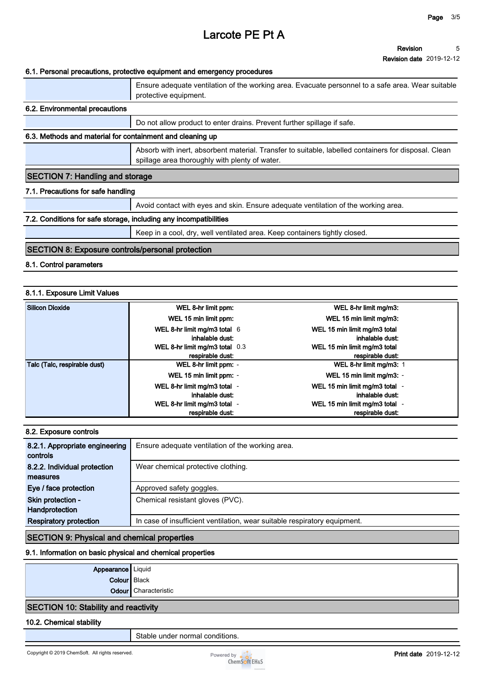#### **Revision Revision date 2019-12-12 5**

#### **6.1. Personal precautions, protective equipment and emergency procedures**

|                                                                   | Ensure adequate ventilation of the working area. Evacuate personnel to a safe area. Wear suitable<br>protective equipment.                             |  |  |
|-------------------------------------------------------------------|--------------------------------------------------------------------------------------------------------------------------------------------------------|--|--|
| 6.2. Environmental precautions                                    |                                                                                                                                                        |  |  |
|                                                                   | Do not allow product to enter drains. Prevent further spillage if safe.                                                                                |  |  |
| 6.3. Methods and material for containment and cleaning up         |                                                                                                                                                        |  |  |
|                                                                   | Absorb with inert, absorbent material. Transfer to suitable, labelled containers for disposal. Clean<br>spillage area thoroughly with plenty of water. |  |  |
| <b>SECTION 7: Handling and storage</b>                            |                                                                                                                                                        |  |  |
| 7.1. Precautions for safe handling                                |                                                                                                                                                        |  |  |
|                                                                   | Avoid contact with eyes and skin. Ensure adequate ventilation of the working area.                                                                     |  |  |
| 7.2. Conditions for safe storage, including any incompatibilities |                                                                                                                                                        |  |  |
|                                                                   | Keep in a cool, dry, well ventilated area. Keep containers tightly closed.                                                                             |  |  |
|                                                                   |                                                                                                                                                        |  |  |

### **SECTION 8: Exposure controls/personal protection**

#### **8.1. Control parameters**

#### **8.1.1. Exposure Limit Values**

| Silicon Dioxide              | WEL 8-hr limit ppm:                                  | WEL 8-hr limit mg/m3:                            |
|------------------------------|------------------------------------------------------|--------------------------------------------------|
|                              | WEL 15 min limit ppm:                                | WEL 15 min limit mg/m3:                          |
|                              | WEL 8-hr limit mg/m3 total $6$<br>inhalable dust:    | WEL 15 min limit mg/m3 total<br>inhalable dust:  |
|                              | WEL 8-hr limit mg/m3 total $0.3$<br>respirable dust: | WEL 15 min limit mg/m3 total<br>respirable dust: |
| Talc (Talc, respirable dust) | WEL 8-hr limit ppm: -                                | WEL 8-hr limit mg/m3: 1                          |
|                              | WEL 15 min limit ppm: -                              | WEL 15 min limit mg/m3: -                        |
|                              | WEL 8-hr limit mg/m3 total -<br>inhalable dust:      | WEL 15 min limit mg/m3 total<br>inhalable dust:  |
|                              | WEL 8-hr limit mg/m3 total -<br>respirable dust:     | WEL 15 min limit mg/m3 total<br>respirable dust: |

| 8.2. Exposure controls |  |
|------------------------|--|
|------------------------|--|

| 8.2.1. Appropriate engineering<br>controls | Ensure adequate ventilation of the working area.                          |
|--------------------------------------------|---------------------------------------------------------------------------|
| 8.2.2. Individual protection<br>measures   | Wear chemical protective clothing.                                        |
| Eye / face protection                      | Approved safety goggles.                                                  |
|                                            |                                                                           |
| Skin protection -<br>Handprotection        | Chemical resistant gloves (PVC).                                          |
| <b>Respiratory protection</b>              | In case of insufficient ventilation, wear suitable respiratory equipment. |

#### **SECTION 9: Physical and chemical properties**

#### **9.1. Information on basic physical and chemical properties**

| Appearance Liquid |                      |
|-------------------|----------------------|
| Colour   Black    |                      |
|                   | Odour Characteristic |

### **SECTION 10: Stability and reactivity**

### **10.2. Chemical stability**

**Stable under normal conditions.**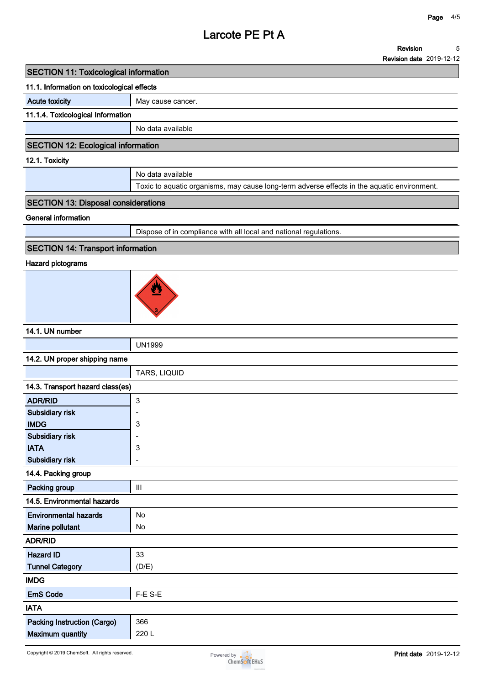**Revision date 2019-12-12**

#### **11.1. Information on toxicological effects**

**Acute toxicity May cause cancer.** 

**11.1.4. Toxicological Information**

**No data available**

# **SECTION 12: Ecological information**

#### **12.1. Toxicity**

| No data available                                                                           |
|---------------------------------------------------------------------------------------------|
| Toxic to aquatic organisms, may cause long-term adverse effects in the aquatic environment. |

# **SECTION 13: Disposal considerations**

**General information**

**Dispose of in compliance with all local and national regulations.**

### **SECTION 14: Transport information**

### **Hazard pictograms**



#### **14.1. UN number**

| .                             |               |
|-------------------------------|---------------|
|                               | <b>UN1999</b> |
| 14.2. UN proper shipping name |               |

**TARS, LIQUID**

| 14.3. Transport hazard class(es) |                          |
|----------------------------------|--------------------------|
| <b>ADR/RID</b>                   | $\mathbf{3}$             |
| Subsidiary risk                  | ۰                        |
| <b>IMDG</b>                      | 3                        |
| Subsidiary risk                  |                          |
| <b>IATA</b>                      | 3                        |
| Subsidiary risk                  | $\overline{\phantom{0}}$ |
| 14.4. Packing group              |                          |
| Packing group                    | Ш                        |
| 14.5. Environmental hazards      |                          |
| <b>Environmental hazards</b>     | No                       |
| Marine pollutant                 | No                       |
| <b>ADR/RID</b>                   |                          |
| <b>Hazard ID</b>                 | 33                       |
| <b>Tunnel Category</b>           | (D/E)                    |
| <b>IMDG</b>                      |                          |
| <b>EmS Code</b>                  | F-E S-E                  |
| <b>IATA</b>                      |                          |
| Packing Instruction (Cargo)      | 366                      |
| <b>Maximum quantity</b>          | 220 L                    |

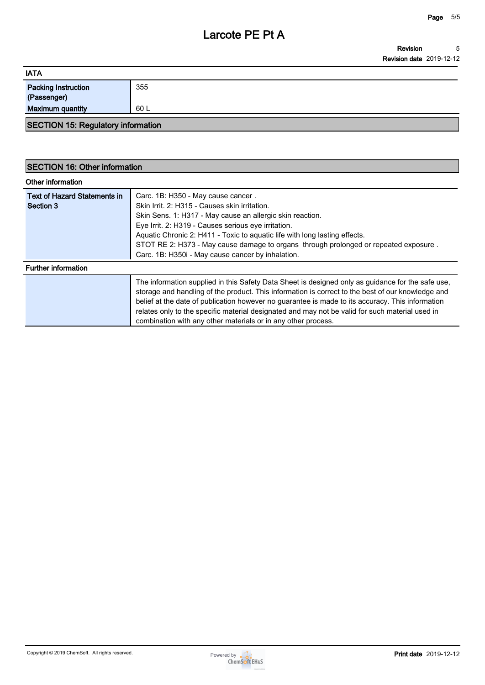| <b>IATA</b>                               |      |
|-------------------------------------------|------|
| <b>Packing Instruction</b><br>(Passenger) | 355  |
| <b>Maximum quantity</b>                   | 60 L |

# **SECTION 15: Regulatory information**

### **SECTION 16: Other information**

| Other information                                |                                                                                                                                                                                                                                                                                                                                                                                                                                                                                |
|--------------------------------------------------|--------------------------------------------------------------------------------------------------------------------------------------------------------------------------------------------------------------------------------------------------------------------------------------------------------------------------------------------------------------------------------------------------------------------------------------------------------------------------------|
| <b>Text of Hazard Statements in</b><br>Section 3 | Carc. 1B: H350 - May cause cancer.<br>Skin Irrit. 2: H315 - Causes skin irritation.<br>Skin Sens. 1: H317 - May cause an allergic skin reaction.<br>Eye Irrit. 2: H319 - Causes serious eye irritation.<br>Aquatic Chronic 2: H411 - Toxic to aquatic life with long lasting effects.<br>STOT RE 2: H373 - May cause damage to organs through prolonged or repeated exposure.<br>Carc. 1B: H350i - May cause cancer by inhalation.                                             |
| <b>Further information</b>                       |                                                                                                                                                                                                                                                                                                                                                                                                                                                                                |
|                                                  | The information supplied in this Safety Data Sheet is designed only as guidance for the safe use,<br>storage and handling of the product. This information is correct to the best of our knowledge and<br>belief at the date of publication however no guarantee is made to its accuracy. This information<br>relates only to the specific material designated and may not be valid for such material used in<br>combination with any other materials or in any other process. |

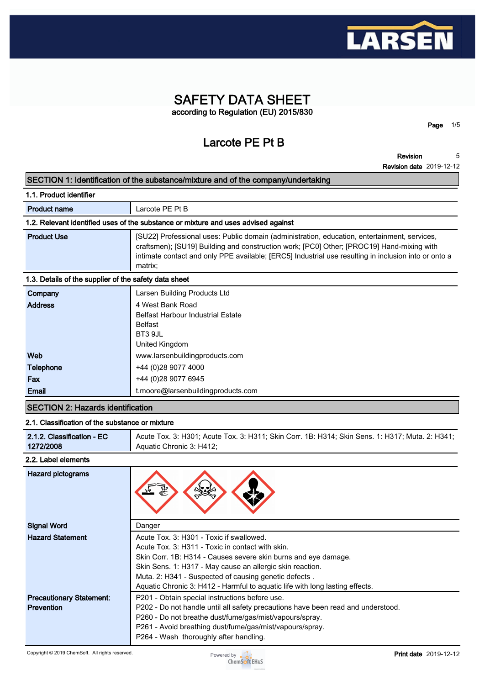

# **SAFETY DATA SHEET according to Regulation (EU) 2015/830**

**Larcote PE Pt B**

**Revision 5**

**Page 1/5**

| 1.1. Product identifier                               |                                                                                                                                                                                                                                                                                                              |
|-------------------------------------------------------|--------------------------------------------------------------------------------------------------------------------------------------------------------------------------------------------------------------------------------------------------------------------------------------------------------------|
| <b>Product name</b>                                   | Larcote PE Pt B                                                                                                                                                                                                                                                                                              |
|                                                       | 1.2. Relevant identified uses of the substance or mixture and uses advised against                                                                                                                                                                                                                           |
| <b>Product Use</b>                                    | [SU22] Professional uses: Public domain (administration, education, entertainment, services,<br>craftsmen); [SU19] Building and construction work; [PC0] Other; [PROC19] Hand-mixing with<br>intimate contact and only PPE available; [ERC5] Industrial use resulting in inclusion into or onto a<br>matrix; |
| 1.3. Details of the supplier of the safety data sheet |                                                                                                                                                                                                                                                                                                              |
| Company                                               | Larsen Building Products Ltd                                                                                                                                                                                                                                                                                 |
| <b>Address</b>                                        | 4 West Bank Road<br><b>Belfast Harbour Industrial Estate</b><br><b>Belfast</b><br>BT3 9JL<br>United Kingdom                                                                                                                                                                                                  |
| Web                                                   | www.larsenbuildingproducts.com                                                                                                                                                                                                                                                                               |
| <b>Telephone</b>                                      | +44 (0)28 9077 4000                                                                                                                                                                                                                                                                                          |
| Fax                                                   | +44 (0)28 9077 6945                                                                                                                                                                                                                                                                                          |
| Email                                                 | t.moore@larsenbuildingproducts.com                                                                                                                                                                                                                                                                           |

### **SECTION 2: Hazards identification**

#### **2.1. Classification of the substance or mixture**

| 2.1.2. Classification - EC | Acute Tox. 3: H301; Acute Tox. 3: H311; Skin Corr. 1B: H314; Skin Sens. 1: H317; Muta. 2: H341; |
|----------------------------|-------------------------------------------------------------------------------------------------|
| 1272/2008                  | Aquatic Chronic 3: H412;                                                                        |

#### **2.2. Label elements**

| <b>Hazard pictograms</b>        |                                                                                  |
|---------------------------------|----------------------------------------------------------------------------------|
| <b>Signal Word</b>              | Danger                                                                           |
| <b>Hazard Statement</b>         | Acute Tox. 3: H301 - Toxic if swallowed.                                         |
|                                 | Acute Tox. 3: H311 - Toxic in contact with skin.                                 |
|                                 | Skin Corr. 1B: H314 - Causes severe skin burns and eye damage.                   |
|                                 | Skin Sens. 1: H317 - May cause an allergic skin reaction.                        |
|                                 | Muta. 2: H341 - Suspected of causing genetic defects.                            |
|                                 | Aquatic Chronic 3: H412 - Harmful to aquatic life with long lasting effects.     |
| <b>Precautionary Statement:</b> | P201 - Obtain special instructions before use.                                   |
| <b>Prevention</b>               | P202 - Do not handle until all safety precautions have been read and understood. |
|                                 | P260 - Do not breathe dust/fume/gas/mist/vapours/spray.                          |
|                                 | P261 - Avoid breathing dust/fume/gas/mist/vapours/spray.                         |
|                                 | P264 - Wash thoroughly after handling.                                           |

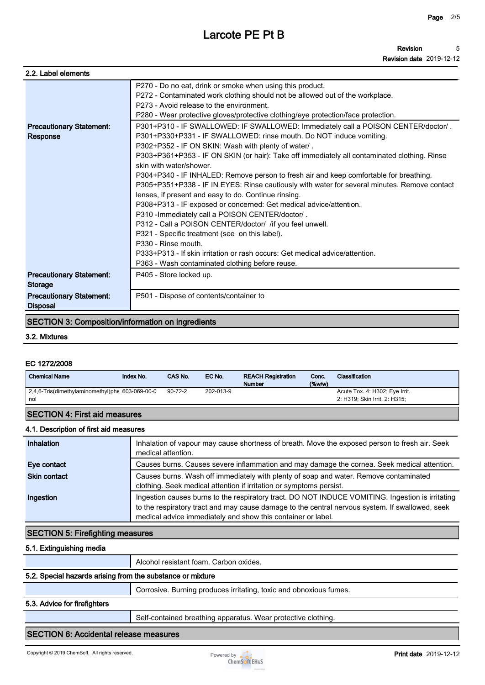**Revision Revision date 2019-12-12 5**

| 2.2. Label elements                                |                                                                                                                                                                                                                                                                                                                                                                                                                                                                                                                                                                                                                                                                                                                                                                                                                                                                                                                                                                                                                                                                                                                                             |
|----------------------------------------------------|---------------------------------------------------------------------------------------------------------------------------------------------------------------------------------------------------------------------------------------------------------------------------------------------------------------------------------------------------------------------------------------------------------------------------------------------------------------------------------------------------------------------------------------------------------------------------------------------------------------------------------------------------------------------------------------------------------------------------------------------------------------------------------------------------------------------------------------------------------------------------------------------------------------------------------------------------------------------------------------------------------------------------------------------------------------------------------------------------------------------------------------------|
| <b>Precautionary Statement:</b><br>Response        | P270 - Do no eat, drink or smoke when using this product.<br>P272 - Contaminated work clothing should not be allowed out of the workplace.<br>P273 - Avoid release to the environment.<br>P280 - Wear protective gloves/protective clothing/eye protection/face protection.<br>P301+P310 - IF SWALLOWED: IF SWALLOWED: Immediately call a POISON CENTER/doctor/.<br>P301+P330+P331 - IF SWALLOWED: rinse mouth. Do NOT induce vomiting.<br>P302+P352 - IF ON SKIN: Wash with plenty of water/.<br>P303+P361+P353 - IF ON SKIN (or hair): Take off immediately all contaminated clothing. Rinse<br>skin with water/shower.<br>P304+P340 - IF INHALED: Remove person to fresh air and keep comfortable for breathing.<br>P305+P351+P338 - IF IN EYES: Rinse cautiously with water for several minutes. Remove contact<br>lenses, if present and easy to do. Continue rinsing.<br>P308+P313 - IF exposed or concerned: Get medical advice/attention.<br>P310 - Immediately call a POISON CENTER/doctor/.<br>P312 - Call a POISON CENTER/doctor/ / if you feel unwell.<br>P321 - Specific treatment (see on this label).<br>P330 - Rinse mouth. |
|                                                    | P333+P313 - If skin irritation or rash occurs: Get medical advice/attention.<br>P363 - Wash contaminated clothing before reuse.                                                                                                                                                                                                                                                                                                                                                                                                                                                                                                                                                                                                                                                                                                                                                                                                                                                                                                                                                                                                             |
| <b>Precautionary Statement:</b><br><b>Storage</b>  | P405 - Store locked up.                                                                                                                                                                                                                                                                                                                                                                                                                                                                                                                                                                                                                                                                                                                                                                                                                                                                                                                                                                                                                                                                                                                     |
| <b>Precautionary Statement:</b><br><b>Disposal</b> | P501 - Dispose of contents/container to                                                                                                                                                                                                                                                                                                                                                                                                                                                                                                                                                                                                                                                                                                                                                                                                                                                                                                                                                                                                                                                                                                     |

# **SECTION 3: Composition/information on ingredients**

#### **3.2. Mixtures**

#### **EC 1272/2008**

| <b>Chemical Name</b>                                   | Index No. | CAS No.       | EC No.    | <b>REACH Registration</b><br><b>Number</b> | Conc.<br>$(\%w/w)$ | Classification                                                  |
|--------------------------------------------------------|-----------|---------------|-----------|--------------------------------------------|--------------------|-----------------------------------------------------------------|
| 2,4,6-Tris(dimethylaminomethyl)phe 603-069-00-0<br>nol |           | $90 - 72 - 2$ | 202-013-9 |                                            |                    | Acute Tox. 4: H302; Eye Irrit.<br>2: H319: Skin Irrit. 2: H315: |
| <b>SECTION 4: First aid measures</b>                   |           |               |           |                                            |                    |                                                                 |

#### **4.1. Description of first aid measures**

| Inhalation          | Inhalation of vapour may cause shortness of breath. Move the exposed person to fresh air. Seek<br>medical attention.                                                                                                                                                |
|---------------------|---------------------------------------------------------------------------------------------------------------------------------------------------------------------------------------------------------------------------------------------------------------------|
| Eye contact         | Causes burns. Causes severe inflammation and may damage the cornea. Seek medical attention.                                                                                                                                                                         |
| <b>Skin contact</b> | Causes burns. Wash off immediately with plenty of soap and water. Remove contaminated<br>clothing. Seek medical attention if irritation or symptoms persist.                                                                                                        |
| Ingestion           | Ingestion causes burns to the respiratory tract. DO NOT INDUCE VOMITING. Ingestion is irritating<br>to the respiratory tract and may cause damage to the central nervous system. If swallowed, seek<br>medical advice immediately and show this container or label. |

### **SECTION 5: Firefighting measures**

#### **5.1. Extinguishing media**

|                                                            | Alcohol resistant foam. Carbon oxides.                             |
|------------------------------------------------------------|--------------------------------------------------------------------|
| 5.2. Special hazards arising from the substance or mixture |                                                                    |
|                                                            | Corrosive. Burning produces irritating, toxic and obnoxious fumes. |
| 5.3. Advice for firefighters                               |                                                                    |
|                                                            | Self-contained breathing apparatus. Wear protective clothing.      |

### **SECTION 6: Accidental release measures**

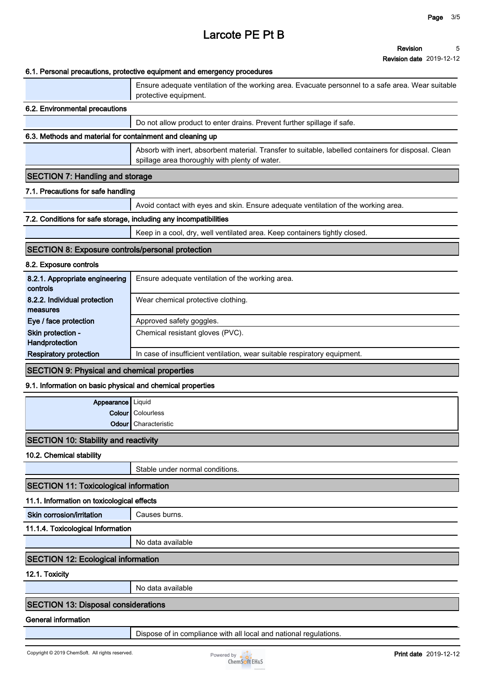#### **Revision Revision date 2019-12-12 5**

#### **6.1. Personal precautions, protective equipment and emergency procedures**

|                                                                   | o. Gisonai procaduono, protocuvo equipmont and emorgency procedures                                                                                    |
|-------------------------------------------------------------------|--------------------------------------------------------------------------------------------------------------------------------------------------------|
|                                                                   | Ensure adequate ventilation of the working area. Evacuate personnel to a safe area. Wear suitable<br>protective equipment.                             |
| 6.2. Environmental precautions                                    |                                                                                                                                                        |
|                                                                   | Do not allow product to enter drains. Prevent further spillage if safe.                                                                                |
| 6.3. Methods and material for containment and cleaning up         |                                                                                                                                                        |
|                                                                   | Absorb with inert, absorbent material. Transfer to suitable, labelled containers for disposal. Clean<br>spillage area thoroughly with plenty of water. |
| <b>SECTION 7: Handling and storage</b>                            |                                                                                                                                                        |
| 7.1. Precautions for safe handling                                |                                                                                                                                                        |
|                                                                   | Avoid contact with eyes and skin. Ensure adequate ventilation of the working area.                                                                     |
| 7.2. Conditions for safe storage, including any incompatibilities |                                                                                                                                                        |
|                                                                   | Keep in a cool, dry, well ventilated area. Keep containers tightly closed.                                                                             |
| <b>SECTION 8: Exposure controls/personal protection</b>           |                                                                                                                                                        |
| 8.2. Exposure controls                                            |                                                                                                                                                        |
| 8.2.1. Appropriate engineering<br>controls                        | Ensure adequate ventilation of the working area.                                                                                                       |
| 8.2.2. Individual protection<br>measures                          | Wear chemical protective clothing.                                                                                                                     |
| Eye / face protection                                             | Approved safety goggles.                                                                                                                               |
| Skin protection -<br>Handprotection                               | Chemical resistant gloves (PVC).                                                                                                                       |
| <b>Respiratory protection</b>                                     | In case of insufficient ventilation, wear suitable respiratory equipment.                                                                              |
| <b>SECTION 9: Physical and chemical properties</b>                |                                                                                                                                                        |
| 9.1. Information on basic physical and chemical properties        |                                                                                                                                                        |
| Appearance                                                        | Liquid                                                                                                                                                 |
|                                                                   | Colour   Colourless                                                                                                                                    |
| Odour                                                             | Characteristic                                                                                                                                         |
| <b>SECTION 10: Stability and reactivity</b>                       |                                                                                                                                                        |
| 10.2. Chemical stability                                          |                                                                                                                                                        |
|                                                                   | Stable under normal conditions.                                                                                                                        |
| <b>SECTION 11: Toxicological information</b>                      |                                                                                                                                                        |
| 11.1. Information on toxicological effects                        |                                                                                                                                                        |
| Skin corrosion/irritation                                         | Causes burns.                                                                                                                                          |
| 11.1.4. Toxicological Information                                 |                                                                                                                                                        |
|                                                                   | No data available                                                                                                                                      |
| <b>SECTION 12: Ecological information</b>                         |                                                                                                                                                        |
| 12.1. Toxicity                                                    |                                                                                                                                                        |
|                                                                   | No data available                                                                                                                                      |
|                                                                   |                                                                                                                                                        |

# **SECTION 13: Disposal considerations**

**General information**

**Dispose of in compliance with all local and national regulations.**

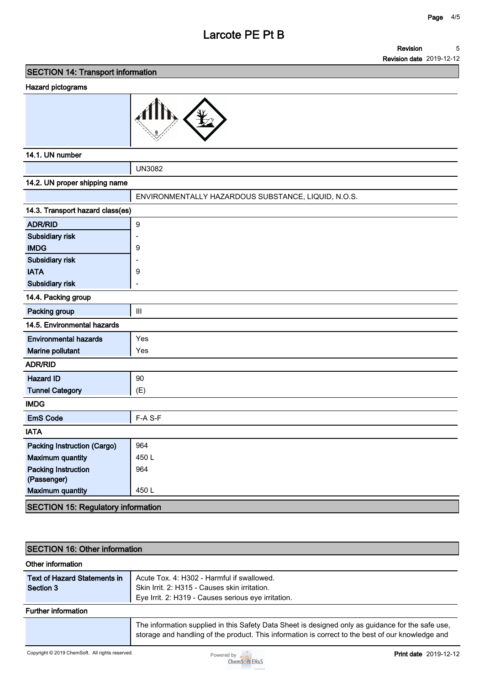#### **Revision 5**

**Revision date 2019-12-12**

**SECTION 14: Transport information**

#### **Hazard pictograms**



### **14.1. UN number**

|                                           | <b>UN3082</b>                                       |
|-------------------------------------------|-----------------------------------------------------|
| 14.2. UN proper shipping name             |                                                     |
|                                           | ENVIRONMENTALLY HAZARDOUS SUBSTANCE, LIQUID, N.O.S. |
| 14.3. Transport hazard class(es)          |                                                     |
| <b>ADR/RID</b>                            | $\overline{9}$                                      |
| Subsidiary risk                           | ÷                                                   |
| <b>IMDG</b>                               | 9                                                   |
| Subsidiary risk                           | $\overline{a}$                                      |
| <b>IATA</b>                               | 9                                                   |
| Subsidiary risk                           | $\overline{a}$                                      |
| 14.4. Packing group                       |                                                     |
| Packing group                             | Ш                                                   |
| 14.5. Environmental hazards               |                                                     |
| <b>Environmental hazards</b>              | Yes                                                 |
| Marine pollutant                          | Yes                                                 |
| <b>ADR/RID</b>                            |                                                     |
| <b>Hazard ID</b>                          | 90                                                  |
| <b>Tunnel Category</b>                    | (E)                                                 |
| <b>IMDG</b>                               |                                                     |
| <b>EmS Code</b>                           | F-A S-F                                             |
| <b>IATA</b>                               |                                                     |
| <b>Packing Instruction (Cargo)</b>        | 964                                                 |
| <b>Maximum quantity</b>                   | 450L                                                |
| <b>Packing Instruction</b>                | 964                                                 |
| (Passenger)                               |                                                     |
| <b>Maximum quantity</b>                   | 450L                                                |
| <b>SECTION 15: Regulatory information</b> |                                                     |

# **SECTION 16: Other information**

| ISECTION TO: OUIGI INDITIBUON             |                                                                                                                                                                                                        |
|-------------------------------------------|--------------------------------------------------------------------------------------------------------------------------------------------------------------------------------------------------------|
| Other information                         |                                                                                                                                                                                                        |
| Text of Hazard Statements in<br>Section 3 | Acute Tox, 4: H302 - Harmful if swallowed.<br>Skin Irrit. 2: H315 - Causes skin irritation.<br>Eye Irrit. 2: H319 - Causes serious eye irritation.                                                     |
| <b>Further information</b>                |                                                                                                                                                                                                        |
|                                           | The information supplied in this Safety Data Sheet is designed only as guidance for the safe use.<br>storage and handling of the product. This information is correct to the best of our knowledge and |